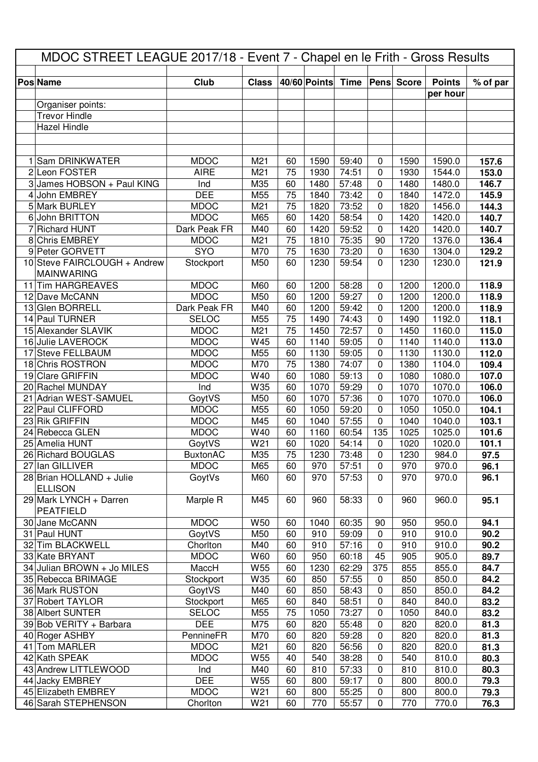|    |                              |                 |                 | MDOC STREET LEAGUE 2017/18 - Event 7 - Chapel en le Frith - Gross Results |              |       |              |                   |               |          |  |  |
|----|------------------------------|-----------------|-----------------|---------------------------------------------------------------------------|--------------|-------|--------------|-------------------|---------------|----------|--|--|
|    |                              |                 |                 |                                                                           |              |       |              |                   |               |          |  |  |
|    | <b>Pos Name</b>              | Club            | <b>Class</b>    |                                                                           | 40/60 Points | Time  |              | <b>Pens</b> Score | <b>Points</b> | % of par |  |  |
|    | Organiser points:            |                 |                 |                                                                           |              |       |              |                   | per hour      |          |  |  |
|    | <b>Trevor Hindle</b>         |                 |                 |                                                                           |              |       |              |                   |               |          |  |  |
|    | <b>Hazel Hindle</b>          |                 |                 |                                                                           |              |       |              |                   |               |          |  |  |
|    |                              |                 |                 |                                                                           |              |       |              |                   |               |          |  |  |
|    |                              |                 |                 |                                                                           |              |       |              |                   |               |          |  |  |
|    | 1 Sam DRINKWATER             | <b>MDOC</b>     | M21             | 60                                                                        | 1590         | 59:40 | $\mathbf 0$  | 1590              | 1590.0        | 157.6    |  |  |
|    | 2 Leon FOSTER                | <b>AIRE</b>     | M21             | 75                                                                        | 1930         | 74:51 | 0            | 1930              | 1544.0        | 153.0    |  |  |
|    | 3 James HOBSON + Paul KING   | Ind             | M35             | 60                                                                        | 1480         | 57:48 | 0            | 1480              | 1480.0        | 146.7    |  |  |
| 4  | John EMBREY                  | <b>DEE</b>      | M55             | 75                                                                        | 1840         | 73:42 | $\mathbf 0$  | 1840              | 1472.0        | 145.9    |  |  |
|    | 5 Mark BURLEY                | <b>MDOC</b>     | M21             | 75                                                                        | 1820         | 73:52 | $\mathbf{0}$ | 1820              | 1456.0        | 144.3    |  |  |
| 6  | John BRITTON                 | <b>MDOC</b>     | M65             | 60                                                                        | 1420         | 58:54 | 0            | 1420              | 1420.0        | 140.7    |  |  |
|    | <b>Richard HUNT</b>          | Dark Peak FR    | M40             | 60                                                                        | 1420         | 59:52 | 0            | 1420              | 1420.0        | 140.7    |  |  |
|    | 8 Chris EMBREY               | <b>MDOC</b>     | M21             | 75                                                                        | 1810         | 75:35 | 90           | 1720              | 1376.0        | 136.4    |  |  |
|    | 9 Peter GORVETT              | <b>SYO</b>      | M70             | 75                                                                        | 1630         | 73:20 | 0            | 1630              | 1304.0        | 129.2    |  |  |
|    | 10 Steve FAIRCLOUGH + Andrew | Stockport       | M50             | 60                                                                        | 1230         | 59:54 | $\Omega$     | 1230              | 1230.0        | 121.9    |  |  |
|    | <b>MAINWARING</b>            |                 |                 |                                                                           |              |       |              |                   |               |          |  |  |
|    | 11 Tim HARGREAVES            | <b>MDOC</b>     | M60             | 60                                                                        | 1200         | 58:28 | 0            | 1200              | 1200.0        | 118.9    |  |  |
|    | 12 Dave McCANN               | <b>MDOC</b>     | M50             | 60                                                                        | 1200         | 59:27 | 0            | 1200              | 1200.0        | 118.9    |  |  |
|    | 13 Glen BORRELL              | Dark Peak FR    | M40             | 60                                                                        | 1200         | 59:42 | 0            | 1200              | 1200.0        | 118.9    |  |  |
|    | 14 Paul TURNER               | <b>SELOC</b>    | M55             | 75                                                                        | 1490         | 74:43 | $\Omega$     | 1490              | 1192.0        | 118.1    |  |  |
|    | 15 Alexander SLAVIK          | <b>MDOC</b>     | M21             | 75                                                                        | 1450         | 72:57 | 0            | 1450              | 1160.0        | 115.0    |  |  |
|    | 16 Julie LAVEROCK            | <b>MDOC</b>     | W45             | 60                                                                        | 1140         | 59:05 | 0            | 1140              | 1140.0        | 113.0    |  |  |
|    | 17 Steve FELLBAUM            | <b>MDOC</b>     | M55             | 60                                                                        | 1130         | 59:05 | $\Omega$     | 1130              | 1130.0        | 112.0    |  |  |
|    | 18 Chris ROSTRON             | <b>MDOC</b>     | M70             | 75                                                                        | 1380         | 74:07 | 0            | 1380              | 1104.0        | 109.4    |  |  |
|    | 19 Clare GRIFFIN             | <b>MDOC</b>     | W40             | 60                                                                        | 1080         | 59:13 | 0            | 1080              | 1080.0        | 107.0    |  |  |
|    | 20 Rachel MUNDAY             | Ind             | W35             | 60                                                                        | 1070         | 59:29 | 0            | 1070              | 1070.0        | 106.0    |  |  |
|    | 21 Adrian WEST-SAMUEL        | GoytVS          | M50             | 60                                                                        | 1070         | 57:36 | $\mathbf 0$  | 1070              | 1070.0        | 106.0    |  |  |
|    | 22 Paul CLIFFORD             | <b>MDOC</b>     | M55             | 60                                                                        | 1050         | 59:20 | $\mathbf 0$  | 1050              | 1050.0        | 104.1    |  |  |
|    | 23 Rik GRIFFIN               | <b>MDOC</b>     | M45             | 60                                                                        | 1040         | 57:55 | 0            | 1040              | 1040.0        | 103.1    |  |  |
|    | 24 Rebecca GLEN              | <b>MDOC</b>     | W40             | 60                                                                        | 1160         | 60:54 | 135          | 1025              | 1025.0        | 101.6    |  |  |
|    | 25 Amelia HUNT               | GoytVS          | W21             | 60                                                                        | 1020         | 54:14 | $\pmb{0}$    | 1020              | 1020.0        | 101.1    |  |  |
|    | 26 Richard BOUGLAS           | <b>BuxtonAC</b> | M35             | $\overline{75}$                                                           | 1230         | 73:48 | $\pmb{0}$    | 1230              | 984.0         | 97.5     |  |  |
|    | 27 Ian GILLIVER              | <b>MDOC</b>     | M65             | 60                                                                        | 970          | 57:51 | $\Omega$     | 970               | 970.0         | 96.1     |  |  |
|    | 28 Brian HOLLAND + Julie     | GoytVs          | M60             | 60                                                                        | 970          | 57:53 | $\mathbf{0}$ | 970               | 970.0         | 96.1     |  |  |
|    | <b>ELLISON</b>               |                 |                 |                                                                           |              |       |              |                   |               |          |  |  |
|    | 29 Mark LYNCH + Darren       | Marple R        | M45             | 60                                                                        | 960          | 58:33 | 0            | 960               | 960.0         | 95.1     |  |  |
|    | <b>PEATFIELD</b>             |                 |                 |                                                                           |              |       |              |                   |               |          |  |  |
|    | 30 Jane McCANN               | <b>MDOC</b>     | W <sub>50</sub> | 60                                                                        | 1040         | 60:35 | 90           | 950               | 950.0         | 94.1     |  |  |
|    | 31 Paul HUNT                 | GoytVS          | M50             | 60                                                                        | 910          | 59:09 | 0            | 910               | 910.0         | 90.2     |  |  |
|    | 32 Tim BLACKWELL             | Chorlton        | M40             | 60                                                                        | 910          | 57:16 | $\mathbf 0$  | 910               | 910.0         | 90.2     |  |  |
|    | 33 Kate BRYANT               | <b>MDOC</b>     | W60             | 60                                                                        | 950          | 60:18 | 45           | 905               | 905.0         | 89.7     |  |  |
|    | 34 Julian BROWN + Jo MILES   | MaccH           | W55             | 60                                                                        | 1230         | 62:29 | 375          | 855               | 855.0         | 84.7     |  |  |
|    | 35 Rebecca BRIMAGE           | Stockport       | W35             | 60                                                                        | 850          | 57:55 | $\mathbf 0$  | 850               | 850.0         | 84.2     |  |  |
|    | 36 Mark RUSTON               | GoytVS          | M40             | 60                                                                        | 850          | 58:43 | $\pmb{0}$    | 850               | 850.0         | 84.2     |  |  |
|    | 37 Robert TAYLOR             | Stockport       | M65             | 60                                                                        | 840          | 58:51 | $\mathbf 0$  | 840               | 840.0         | 83.2     |  |  |
|    | 38 Albert SUNTER             | <b>SELOC</b>    | M55             | 75                                                                        | 1050         | 73:27 | 0            | 1050              | 840.0         | 83.2     |  |  |
|    | 39 Bob VERITY + Barbara      | <b>DEE</b>      | M75             | 60                                                                        | 820          | 55:48 | $\mathbf 0$  | 820               | 820.0         | 81.3     |  |  |
|    | 40 Roger ASHBY               | PennineFR       | M70             | 60                                                                        | 820          | 59:28 | 0            | 820               | 820.0         | 81.3     |  |  |
| 41 | Tom MARLER                   | <b>MDOC</b>     | M21             | 60                                                                        | 820          | 56:56 | 0            | 820               | 820.0         | 81.3     |  |  |
|    | 42 Kath SPEAK                | <b>MDOC</b>     | W55             | 40                                                                        | 540          | 38:28 | 0            | 540               | 810.0         | 80.3     |  |  |
|    | 43 Andrew LITTLEWOOD         | Ind             | M40             | 60                                                                        | 810          | 57:33 | $\mathbf 0$  | 810               | 810.0         | 80.3     |  |  |
|    | 44 Jacky EMBREY              | <b>DEE</b>      | W <sub>55</sub> | 60                                                                        | 800          | 59:17 | $\mathbf 0$  | 800               | 800.0         | 79.3     |  |  |
|    | 45 Elizabeth EMBREY          | <b>MDOC</b>     | W21             | 60                                                                        | 800          | 55:25 | $\mathbf 0$  | 800               | 800.0         | 79.3     |  |  |
|    | 46 Sarah STEPHENSON          | Chorlton        | W21             | 60                                                                        | 770          | 55:57 | $\pmb{0}$    | 770               | 770.0         | 76.3     |  |  |